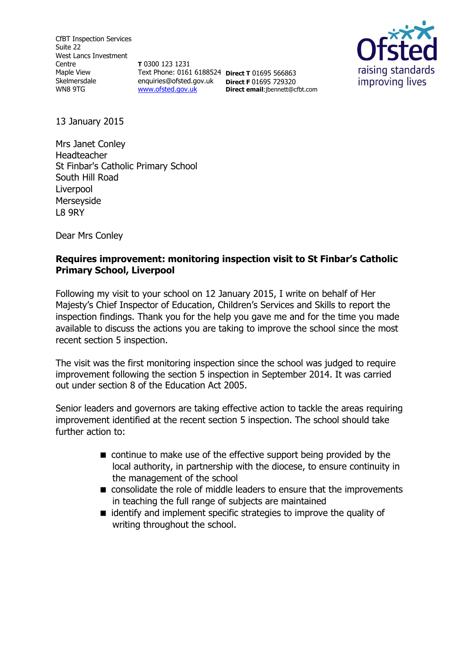CfBT Inspection Services Suite 22 West Lancs Investment Centre Maple View Skelmersdale WN8 9TG

**T** 0300 123 1231 Text Phone: 0161 6188524 **Direct T** 01695 566863 enquiries@ofsted.gov.uk **Direct F** 01695 729320 [www.ofsted.gov.uk](http://www.ofsted.gov.uk/)

**Direct email**:jbennett@cfbt.com



13 January 2015

Mrs Janet Conley Headteacher St Finbar's Catholic Primary School South Hill Road Liverpool Merseyside L8 9RY

Dear Mrs Conley

### **Requires improvement: monitoring inspection visit to St Finbar's Catholic Primary School, Liverpool**

Following my visit to your school on 12 January 2015, I write on behalf of Her Majesty's Chief Inspector of Education, Children's Services and Skills to report the inspection findings. Thank you for the help you gave me and for the time you made available to discuss the actions you are taking to improve the school since the most recent section 5 inspection.

The visit was the first monitoring inspection since the school was judged to require improvement following the section 5 inspection in September 2014. It was carried out under section 8 of the Education Act 2005.

Senior leaders and governors are taking effective action to tackle the areas requiring improvement identified at the recent section 5 inspection. The school should take further action to:

- continue to make use of the effective support being provided by the local authority, in partnership with the diocese, to ensure continuity in the management of the school
- consolidate the role of middle leaders to ensure that the improvements in teaching the full range of subjects are maintained
- identify and implement specific strategies to improve the quality of writing throughout the school.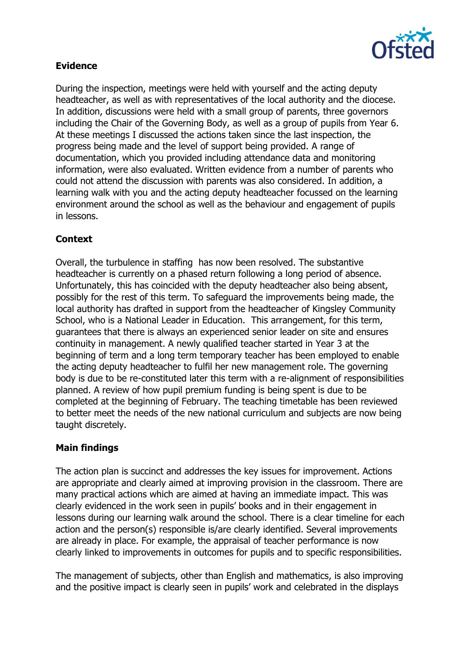

# **Evidence**

During the inspection, meetings were held with yourself and the acting deputy headteacher, as well as with representatives of the local authority and the diocese. In addition, discussions were held with a small group of parents, three governors including the Chair of the Governing Body, as well as a group of pupils from Year 6. At these meetings I discussed the actions taken since the last inspection, the progress being made and the level of support being provided. A range of documentation, which you provided including attendance data and monitoring information, were also evaluated. Written evidence from a number of parents who could not attend the discussion with parents was also considered. In addition, a learning walk with you and the acting deputy headteacher focussed on the learning environment around the school as well as the behaviour and engagement of pupils in lessons.

# **Context**

Overall, the turbulence in staffing has now been resolved. The substantive headteacher is currently on a phased return following a long period of absence. Unfortunately, this has coincided with the deputy headteacher also being absent, possibly for the rest of this term. To safeguard the improvements being made, the local authority has drafted in support from the headteacher of Kingsley Community School, who is a National Leader in Education. This arrangement, for this term, guarantees that there is always an experienced senior leader on site and ensures continuity in management. A newly qualified teacher started in Year 3 at the beginning of term and a long term temporary teacher has been employed to enable the acting deputy headteacher to fulfil her new management role. The governing body is due to be re-constituted later this term with a re-alignment of responsibilities planned. A review of how pupil premium funding is being spent is due to be completed at the beginning of February. The teaching timetable has been reviewed to better meet the needs of the new national curriculum and subjects are now being taught discretely.

### **Main findings**

The action plan is succinct and addresses the key issues for improvement. Actions are appropriate and clearly aimed at improving provision in the classroom. There are many practical actions which are aimed at having an immediate impact. This was clearly evidenced in the work seen in pupils' books and in their engagement in lessons during our learning walk around the school. There is a clear timeline for each action and the person(s) responsible is/are clearly identified. Several improvements are already in place. For example, the appraisal of teacher performance is now clearly linked to improvements in outcomes for pupils and to specific responsibilities.

The management of subjects, other than English and mathematics, is also improving and the positive impact is clearly seen in pupils' work and celebrated in the displays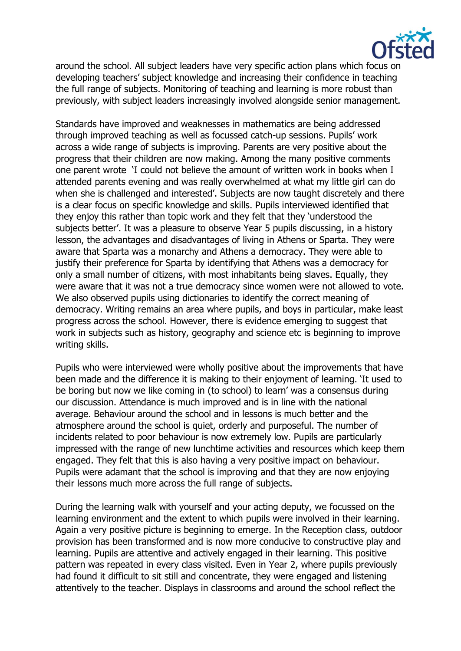

around the school. All subject leaders have very specific action plans which focus on developing teachers' subject knowledge and increasing their confidence in teaching the full range of subjects. Monitoring of teaching and learning is more robust than previously, with subject leaders increasingly involved alongside senior management.

Standards have improved and weaknesses in mathematics are being addressed through improved teaching as well as focussed catch-up sessions. Pupils' work across a wide range of subjects is improving. Parents are very positive about the progress that their children are now making. Among the many positive comments one parent wrote 'I could not believe the amount of written work in books when I attended parents evening and was really overwhelmed at what my little girl can do when she is challenged and interested'. Subjects are now taught discretely and there is a clear focus on specific knowledge and skills. Pupils interviewed identified that they enjoy this rather than topic work and they felt that they 'understood the subjects better'. It was a pleasure to observe Year 5 pupils discussing, in a history lesson, the advantages and disadvantages of living in Athens or Sparta. They were aware that Sparta was a monarchy and Athens a democracy. They were able to justify their preference for Sparta by identifying that Athens was a democracy for only a small number of citizens, with most inhabitants being slaves. Equally, they were aware that it was not a true democracy since women were not allowed to vote. We also observed pupils using dictionaries to identify the correct meaning of democracy. Writing remains an area where pupils, and boys in particular, make least progress across the school. However, there is evidence emerging to suggest that work in subjects such as history, geography and science etc is beginning to improve writing skills.

Pupils who were interviewed were wholly positive about the improvements that have been made and the difference it is making to their enjoyment of learning. 'It used to be boring but now we like coming in (to school) to learn' was a consensus during our discussion. Attendance is much improved and is in line with the national average. Behaviour around the school and in lessons is much better and the atmosphere around the school is quiet, orderly and purposeful. The number of incidents related to poor behaviour is now extremely low. Pupils are particularly impressed with the range of new lunchtime activities and resources which keep them engaged. They felt that this is also having a very positive impact on behaviour. Pupils were adamant that the school is improving and that they are now enjoying their lessons much more across the full range of subjects.

During the learning walk with yourself and your acting deputy, we focussed on the learning environment and the extent to which pupils were involved in their learning. Again a very positive picture is beginning to emerge. In the Reception class, outdoor provision has been transformed and is now more conducive to constructive play and learning. Pupils are attentive and actively engaged in their learning. This positive pattern was repeated in every class visited. Even in Year 2, where pupils previously had found it difficult to sit still and concentrate, they were engaged and listening attentively to the teacher. Displays in classrooms and around the school reflect the